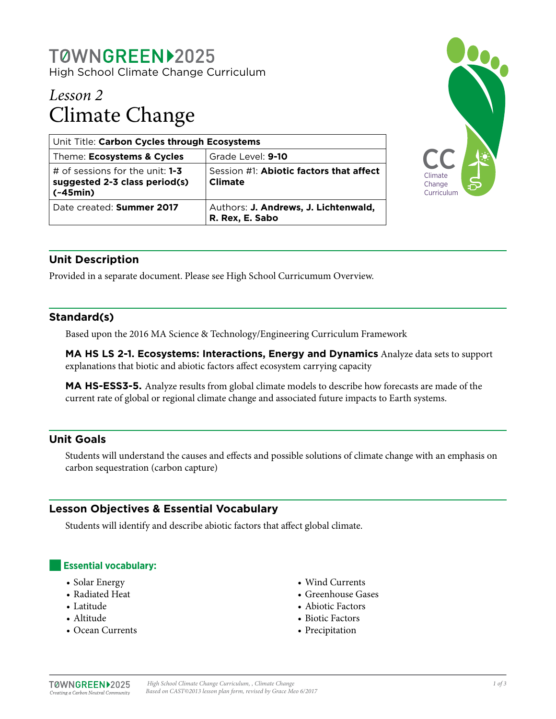# TØWNGREEN12025

High School Climate Change Curriculum

## *Lesson 2* Climate Change

| Unit Title: Carbon Cycles through Ecosystems                                     |                                                           |
|----------------------------------------------------------------------------------|-----------------------------------------------------------|
| Theme: Ecosystems & Cycles                                                       | Grade Level: 9-10                                         |
| # of sessions for the unit: $1-3$<br>suggested 2-3 class period(s)<br>$(-45min)$ | Session #1: Abiotic factors that affect<br><b>Climate</b> |
| Date created: Summer 2017                                                        | Authors: J. Andrews, J. Lichtenwald,<br>R. Rex, E. Sabo   |



## **Unit Description**

Provided in a separate document. Please see High School Curricumum Overview.

## **Standard(s)**

Based upon the 2016 MA Science & Technology/Engineering Curriculum Framework

**MA HS LS 2-1. Ecosystems: Interactions, Energy and Dynamics** Analyze data sets to support explanations that biotic and abiotic factors affect ecosystem carrying capacity

**MA HS-ESS3-5.** Analyze results from global climate models to describe how forecasts are made of the current rate of global or regional climate change and associated future impacts to Earth systems.

## **Unit Goals**

Students will understand the causes and effects and possible solutions of climate change with an emphasis on carbon sequestration (carbon capture)

## **Lesson Objectives & Essential Vocabulary**

Students will identify and describe abiotic factors that affect global climate.

## **Essential vocabulary:**

- Solar Energy
- Radiated Heat
- Latitude
- Altitude
- Ocean Currents
- Wind Currents
- Greenhouse Gases
- Abiotic Factors
- Biotic Factors
- Precipitation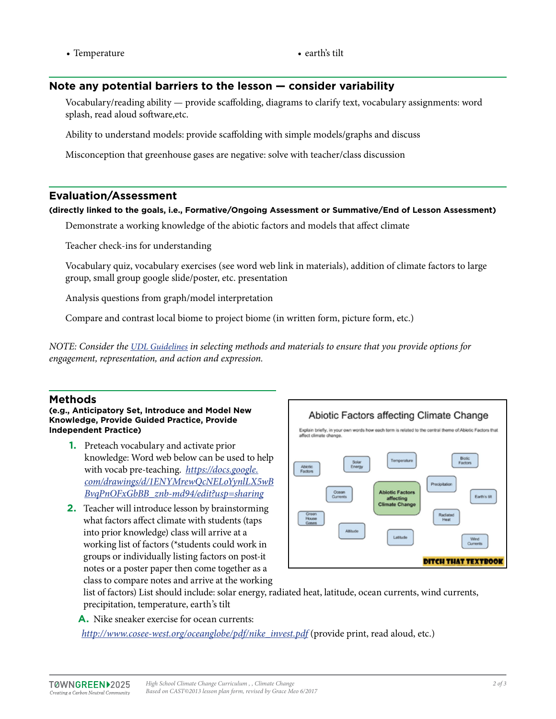• Temperature • earth's tilt

## **Note any potential barriers to the lesson — consider variability**

Vocabulary/reading ability — provide scaffolding, diagrams to clarify text, vocabulary assignments: word splash, read aloud software,etc.

Ability to understand models: provide scaffolding with simple models/graphs and discuss

Misconception that greenhouse gases are negative: solve with teacher/class discussion

## **Evaluation/Assessment**

#### **(directly linked to the goals, i.e., Formative/Ongoing Assessment or Summative/End of Lesson Assessment)**

Demonstrate a working knowledge of the abiotic factors and models that affect climate

Teacher check-ins for understanding

Vocabulary quiz, vocabulary exercises (see word web link in materials), addition of climate factors to large group, small group google slide/poster, etc. presentation

Analysis questions from graph/model interpretation

Compare and contrast local biome to project biome (in written form, picture form, etc.)

*NOTE: Consider the [UDL Guidelines](http://bit.ly/1d5bjtS) in selecting methods and materials to ensure that you provide options for engagement, representation, and action and expression.* 

## **Methods**

**(e.g., Anticipatory Set, Introduce and Model New Knowledge, Provide Guided Practice, Provide Independent Practice)**

- **1.** Preteach vocabulary and activate prior knowledge: Word web below can be used to help with vocab pre-teaching. *[https://docs.google.](https://docs.google.com/drawings/d/1ENYMrewQcNELoYynlLX5wBBvqPnOFxGbBB_znb-md94/edit?usp=sharing) [com/drawings/d/1ENYMrewQcNELoYynlLX5wB](https://docs.google.com/drawings/d/1ENYMrewQcNELoYynlLX5wBBvqPnOFxGbBB_znb-md94/edit?usp=sharing) [BvqPnOFxGbBB\\_znb-md94/edit?usp=sharing](https://docs.google.com/drawings/d/1ENYMrewQcNELoYynlLX5wBBvqPnOFxGbBB_znb-md94/edit?usp=sharing)*
- **2.** Teacher will introduce lesson by brainstorming what factors affect climate with students (taps into prior knowledge) class will arrive at a working list of factors (\*students could work in groups or individually listing factors on post-it notes or a poster paper then come together as a class to compare notes and arrive at the working



list of factors) List should include: solar energy, radiated heat, latitude, ocean currents, wind currents, precipitation, temperature, earth's tilt

**A.** Nike sneaker exercise for ocean currents:

*[http://www.cosee-west.org/oceanglobe/pdf/nike\\_invest.pdf](http://www.cosee-west.org/oceanglobe/pdf/nike_invest.pdf)* (provide print, read aloud, etc.)